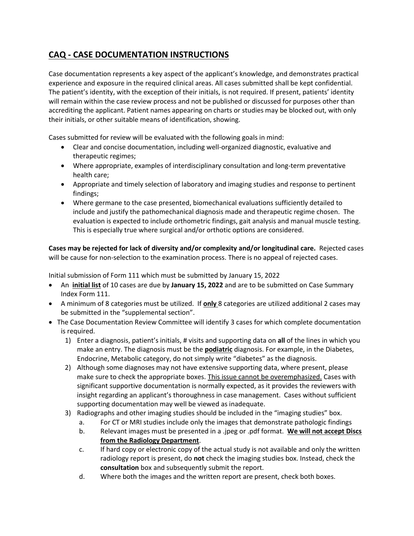## **CAQ - CASE DOCUMENTATION INSTRUCTIONS**

Case documentation represents a key aspect of the applicant's knowledge, and demonstrates practical experience and exposure in the required clinical areas. All cases submitted shall be kept confidential. The patient's identity, with the exception of their initials, is not required. If present, patients' identity will remain within the case review process and not be published or discussed for purposes other than accrediting the applicant. Patient names appearing on charts or studies may be blocked out, with only their initials, or other suitable means of identification, showing.

Cases submitted for review will be evaluated with the following goals in mind:

- Clear and concise documentation, including well-organized diagnostic, evaluative and therapeutic regimes;
- Where appropriate, examples of interdisciplinary consultation and long-term preventative health care;
- Appropriate and timely selection of laboratory and imaging studies and response to pertinent findings;
- Where germane to the case presented, biomechanical evaluations sufficiently detailed to include and justify the pathomechanical diagnosis made and therapeutic regime chosen. The evaluation is expected to include orthometric findings, gait analysis and manual muscle testing. This is especially true where surgical and/or orthotic options are considered.

**Cases may be rejected for lack of diversity and/or complexity and/or longitudinal care.** Rejected cases will be cause for non-selection to the examination process. There is no appeal of rejected cases.

Initial submission of Form 111 which must be submitted by January 15, 2022

- An **initial list** of 10 cases are due by **January 15, 2022** and are to be submitted on Case Summary Index Form 111.
- A minimum of 8 categories must be utilized. If **only** 8 categories are utilized additional 2 cases may be submitted in the "supplemental section".
- The Case Documentation Review Committee will identify 3 cases for which complete documentation is required.
	- 1) Enter a diagnosis, patient's initials, # visits and supporting data on **all** of the lines in which you make an entry. The diagnosis must be the **podiatric** diagnosis. For example, in the Diabetes, Endocrine, Metabolic category, do not simply write "diabetes" as the diagnosis.
	- 2) Although some diagnoses may not have extensive supporting data, where present, please make sure to check the appropriate boxes. This issue cannot be overemphasized. Cases with significant supportive documentation is normally expected, as it provides the reviewers with insight regarding an applicant's thoroughness in case management. Cases without sufficient supporting documentation may well be viewed as inadequate.
	- 3) Radiographs and other imaging studies should be included in the "imaging studies" box.
		- a. For CT or MRI studies include only the images that demonstrate pathologic findings
		- b. Relevant images must be presented in a .jpeg or .pdf format. **We will not accept Discs from the Radiology Department**.
		- c. If hard copy or electronic copy of the actual study is not available and only the written radiology report is present, do **not** check the imaging studies box. Instead, check the **consultation** box and subsequently submit the report.
		- d. Where both the images and the written report are present, check both boxes.